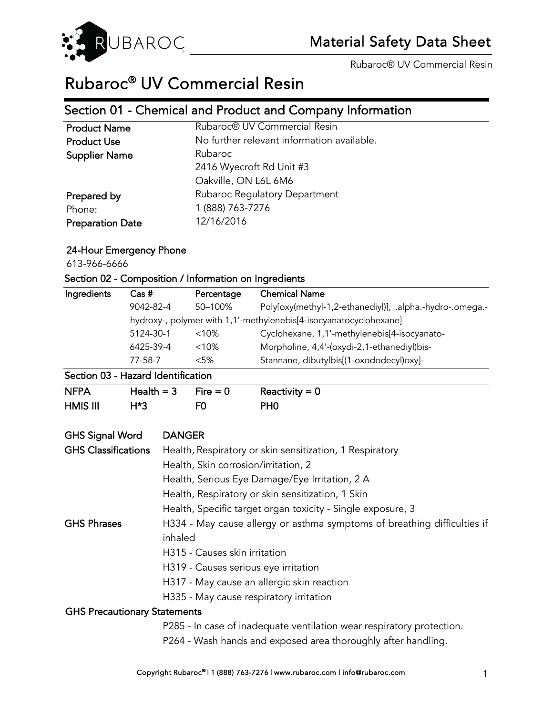

# Rubaroc® UV Commercial Resin

# Section 01 - Chemical and Product and Company Information

 $\overline{\phantom{a}}$ 

| Rubaroc® UV Commercial Resin<br><b>Product Name</b><br><b>Product Use</b><br>Rubaroc<br><b>Supplier Name</b><br>2416 Wyecroft Rd Unit #3<br>Oakville, ON L6L 6M6<br><b>Rubaroc Regulatory Department</b><br>Prepared by<br>1 (888) 763-7276<br>Phone:<br>12/16/2016 |                         |                                            |
|---------------------------------------------------------------------------------------------------------------------------------------------------------------------------------------------------------------------------------------------------------------------|-------------------------|--------------------------------------------|
|                                                                                                                                                                                                                                                                     |                         |                                            |
|                                                                                                                                                                                                                                                                     |                         | No further relevant information available. |
|                                                                                                                                                                                                                                                                     |                         |                                            |
|                                                                                                                                                                                                                                                                     |                         |                                            |
|                                                                                                                                                                                                                                                                     |                         |                                            |
|                                                                                                                                                                                                                                                                     |                         |                                            |
|                                                                                                                                                                                                                                                                     |                         |                                            |
|                                                                                                                                                                                                                                                                     | <b>Preparation Date</b> |                                            |

## 24-Hour Emergency Phone

613-966-6666

| Section 02 - Composition / Information on Ingredients                                                                          |              |                                                |                                                                          |                                                                       |  |
|--------------------------------------------------------------------------------------------------------------------------------|--------------|------------------------------------------------|--------------------------------------------------------------------------|-----------------------------------------------------------------------|--|
| Ingredients                                                                                                                    | $Cas #$      |                                                | Percentage                                                               | <b>Chemical Name</b>                                                  |  |
|                                                                                                                                | 9042-82-4    |                                                | 50-100%                                                                  | Poly[oxy(methyl-1,2-ethanediyl)], .alpha.-hydro-.omega.-              |  |
|                                                                                                                                |              |                                                |                                                                          | hydroxy-, polymer with 1,1'-methylenebis[4-isocyanatocyclohexane]     |  |
|                                                                                                                                | 5124-30-1    |                                                | < 10%                                                                    | Cyclohexane, 1,1'-methylenebis[4-isocyanato-                          |  |
|                                                                                                                                | 6425-39-4    |                                                | < 10%                                                                    | Morpholine, 4,4'-(oxydi-2,1-ethanediyl)bis-                           |  |
|                                                                                                                                | 77-58-7      |                                                | < 5%                                                                     | Stannane, dibutylbis[(1-oxododecyl)oxy]-                              |  |
| Section 03 - Hazard Identification                                                                                             |              |                                                |                                                                          |                                                                       |  |
| <b>NFPA</b>                                                                                                                    | Health $=$ 3 |                                                | $Fire = 0$                                                               | Reactivity = $0$                                                      |  |
| <b>HMIS III</b>                                                                                                                | $H*3$        |                                                | F0                                                                       | PH <sub>0</sub>                                                       |  |
| <b>GHS Signal Word</b>                                                                                                         |              | <b>DANGER</b>                                  |                                                                          |                                                                       |  |
| <b>GHS Classifications</b>                                                                                                     |              |                                                | Health, Respiratory or skin sensitization, 1 Respiratory                 |                                                                       |  |
|                                                                                                                                |              |                                                | Health, Skin corrosion/irritation, 2                                     |                                                                       |  |
|                                                                                                                                |              | Health, Serious Eye Damage/Eye Irritation, 2 A |                                                                          |                                                                       |  |
|                                                                                                                                |              |                                                | Health, Respiratory or skin sensitization, 1 Skin                        |                                                                       |  |
|                                                                                                                                |              |                                                | Health, Specific target organ toxicity - Single exposure, 3              |                                                                       |  |
| <b>GHS Phrases</b>                                                                                                             |              |                                                |                                                                          |                                                                       |  |
| inhaled<br>H315 - Causes skin irritation<br>H319 - Causes serious eye irritation<br>H317 - May cause an allergic skin reaction |              |                                                | H334 - May cause allergy or asthma symptoms of breathing difficulties if |                                                                       |  |
|                                                                                                                                |              |                                                |                                                                          |                                                                       |  |
|                                                                                                                                |              |                                                |                                                                          |                                                                       |  |
|                                                                                                                                |              |                                                |                                                                          |                                                                       |  |
|                                                                                                                                |              |                                                |                                                                          |                                                                       |  |
|                                                                                                                                |              |                                                |                                                                          | H335 - May cause respiratory irritation                               |  |
| <b>GHS Precautionary Statements</b>                                                                                            |              |                                                |                                                                          |                                                                       |  |
|                                                                                                                                |              |                                                |                                                                          | P285 - In case of inadequate ventilation wear respiratory protection. |  |
|                                                                                                                                |              |                                                |                                                                          | P264 - Wash hands and exposed area thoroughly after handling.         |  |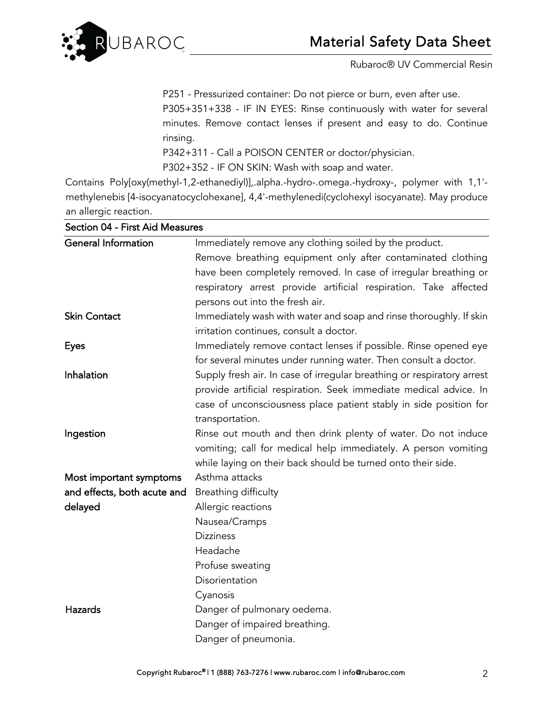

P251 - Pressurized container: Do not pierce or burn, even after use. P305+351+338 - IF IN EYES: Rinse continuously with water for several minutes. Remove contact lenses if present and easy to do. Continue rinsing.

P342+311 - Call a POISON CENTER or doctor/physician.

P302+352 - IF ON SKIN: Wash with soap and water.

Contains Poly[oxy(methyl-1,2-ethanediyl)],.alpha.-hydro-.omega.-hydroxy-, polymer with 1,1' methylenebis [4-isocyanatocyclohexane], 4,4'-methylenedi(cyclohexyl isocyanate). May produce an allergic reaction.

| <b>General Information</b>  | Immediately remove any clothing soiled by the product.                 |
|-----------------------------|------------------------------------------------------------------------|
|                             | Remove breathing equipment only after contaminated clothing            |
|                             | have been completely removed. In case of irregular breathing or        |
|                             | respiratory arrest provide artificial respiration. Take affected       |
|                             | persons out into the fresh air.                                        |
| <b>Skin Contact</b>         | Immediately wash with water and soap and rinse thoroughly. If skin     |
|                             | irritation continues, consult a doctor.                                |
| <b>Eyes</b>                 | Immediately remove contact lenses if possible. Rinse opened eye        |
|                             | for several minutes under running water. Then consult a doctor.        |
| Inhalation                  | Supply fresh air. In case of irregular breathing or respiratory arrest |
|                             | provide artificial respiration. Seek immediate medical advice. In      |
|                             | case of unconsciousness place patient stably in side position for      |
|                             | transportation.                                                        |
| Ingestion                   | Rinse out mouth and then drink plenty of water. Do not induce          |
|                             | vomiting; call for medical help immediately. A person vomiting         |
|                             | while laying on their back should be turned onto their side.           |
| Most important symptoms     | Asthma attacks                                                         |
| and effects, both acute and | Breathing difficulty                                                   |
| delayed                     | Allergic reactions                                                     |
|                             | Nausea/Cramps                                                          |
|                             | <b>Dizziness</b>                                                       |
|                             | Headache                                                               |
|                             | Profuse sweating                                                       |
|                             | Disorientation                                                         |
|                             | Cyanosis                                                               |
| Hazards                     | Danger of pulmonary oedema.                                            |
|                             | Danger of impaired breathing.                                          |
|                             | Danger of pneumonia.                                                   |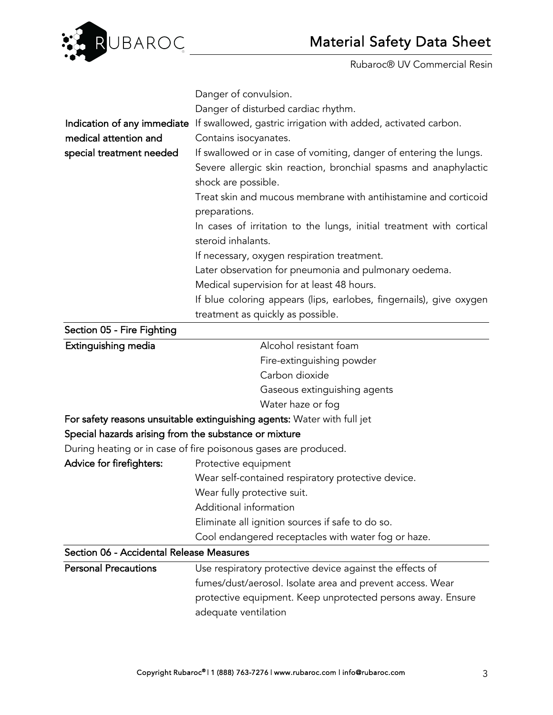

|                                                       | Danger of convulsion.                                                                                                                                         |  |  |
|-------------------------------------------------------|---------------------------------------------------------------------------------------------------------------------------------------------------------------|--|--|
|                                                       | Danger of disturbed cardiac rhythm.                                                                                                                           |  |  |
|                                                       | Indication of any immediate If swallowed, gastric irrigation with added, activated carbon.                                                                    |  |  |
| medical attention and                                 | Contains isocyanates.                                                                                                                                         |  |  |
| special treatment needed                              | If swallowed or in case of vomiting, danger of entering the lungs.<br>Severe allergic skin reaction, bronchial spasms and anaphylactic<br>shock are possible. |  |  |
|                                                       | Treat skin and mucous membrane with antihistamine and corticoid<br>preparations.                                                                              |  |  |
|                                                       | In cases of irritation to the lungs, initial treatment with cortical<br>steroid inhalants.                                                                    |  |  |
|                                                       | If necessary, oxygen respiration treatment.                                                                                                                   |  |  |
|                                                       | Later observation for pneumonia and pulmonary oedema.                                                                                                         |  |  |
|                                                       | Medical supervision for at least 48 hours.                                                                                                                    |  |  |
|                                                       | If blue coloring appears (lips, earlobes, fingernails), give oxygen<br>treatment as quickly as possible.                                                      |  |  |
| Section 05 - Fire Fighting                            |                                                                                                                                                               |  |  |
| Extinguishing media                                   | Alcohol resistant foam                                                                                                                                        |  |  |
|                                                       | Fire-extinguishing powder                                                                                                                                     |  |  |
|                                                       | Carbon dioxide                                                                                                                                                |  |  |
|                                                       | Gaseous extinguishing agents                                                                                                                                  |  |  |
|                                                       | Water haze or fog                                                                                                                                             |  |  |
|                                                       | For safety reasons unsuitable extinguishing agents: Water with full jet                                                                                       |  |  |
| Special hazards arising from the substance or mixture |                                                                                                                                                               |  |  |
|                                                       | During heating or in case of fire poisonous gases are produced.                                                                                               |  |  |
| Advice for firefighters:                              | Protective equipment                                                                                                                                          |  |  |
|                                                       | Wear self-contained respiratory protective device.                                                                                                            |  |  |
|                                                       | Wear fully protective suit.                                                                                                                                   |  |  |
|                                                       | Additional information                                                                                                                                        |  |  |
|                                                       | Eliminate all ignition sources if safe to do so.                                                                                                              |  |  |
|                                                       | Cool endangered receptacles with water fog or haze.                                                                                                           |  |  |
| Section 06 - Accidental Release Measures              |                                                                                                                                                               |  |  |
| <b>Personal Precautions</b>                           | Use respiratory protective device against the effects of                                                                                                      |  |  |
|                                                       | fumes/dust/aerosol. Isolate area and prevent access. Wear<br>protective equipment. Keep unprotected persons away. Ensure<br>adequate ventilation              |  |  |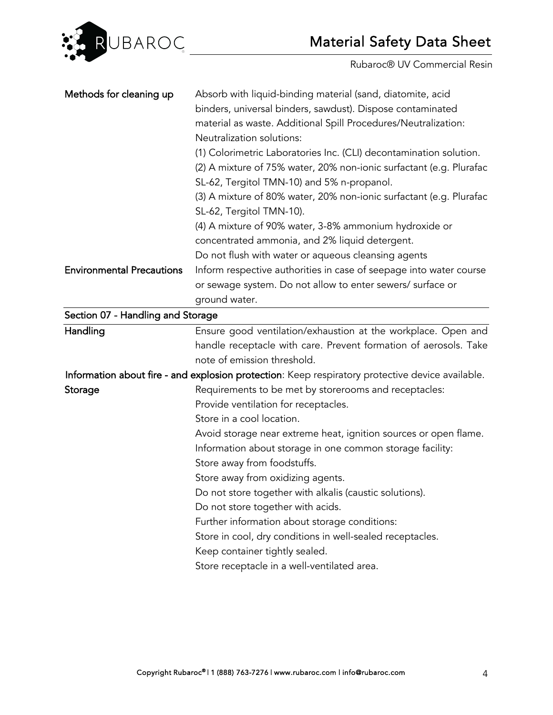

| Methods for cleaning up           | Absorb with liquid-binding material (sand, diatomite, acid                                       |
|-----------------------------------|--------------------------------------------------------------------------------------------------|
|                                   | binders, universal binders, sawdust). Dispose contaminated                                       |
|                                   | material as waste. Additional Spill Procedures/Neutralization:                                   |
|                                   | Neutralization solutions:                                                                        |
|                                   | (1) Colorimetric Laboratories Inc. (CLI) decontamination solution.                               |
|                                   | (2) A mixture of 75% water, 20% non-ionic surfactant (e.g. Plurafac                              |
|                                   | SL-62, Tergitol TMN-10) and 5% n-propanol.                                                       |
|                                   | (3) A mixture of 80% water, 20% non-ionic surfactant (e.g. Plurafac                              |
|                                   | SL-62, Tergitol TMN-10).                                                                         |
|                                   | (4) A mixture of 90% water, 3-8% ammonium hydroxide or                                           |
|                                   | concentrated ammonia, and 2% liquid detergent.                                                   |
|                                   | Do not flush with water or aqueous cleansing agents                                              |
| <b>Environmental Precautions</b>  | Inform respective authorities in case of seepage into water course                               |
|                                   | or sewage system. Do not allow to enter sewers/ surface or                                       |
|                                   | ground water.                                                                                    |
| Section 07 - Handling and Storage |                                                                                                  |
| Handling                          | Ensure good ventilation/exhaustion at the workplace. Open and                                    |
|                                   | handle receptacle with care. Prevent formation of aerosols. Take                                 |
|                                   | note of emission threshold.                                                                      |
|                                   | Information about fire - and explosion protection: Keep respiratory protective device available. |
| Storage                           | Requirements to be met by storerooms and receptacles:                                            |
|                                   | Provide ventilation for receptacles.                                                             |
|                                   | Store in a cool location.                                                                        |
|                                   | Avoid storage near extreme heat, ignition sources or open flame.                                 |
|                                   | Information about storage in one common storage facility:                                        |
|                                   | Store away from foodstuffs.                                                                      |
|                                   | Store away from oxidizing agents.                                                                |
|                                   | Do not store together with alkalis (caustic solutions).                                          |
|                                   | Do not store together with acids.                                                                |
|                                   | Further information about storage conditions:                                                    |
|                                   | Store in cool, dry conditions in well-sealed receptacles.                                        |
|                                   | Keep container tightly sealed.                                                                   |
|                                   | Store receptacle in a well-ventilated area.                                                      |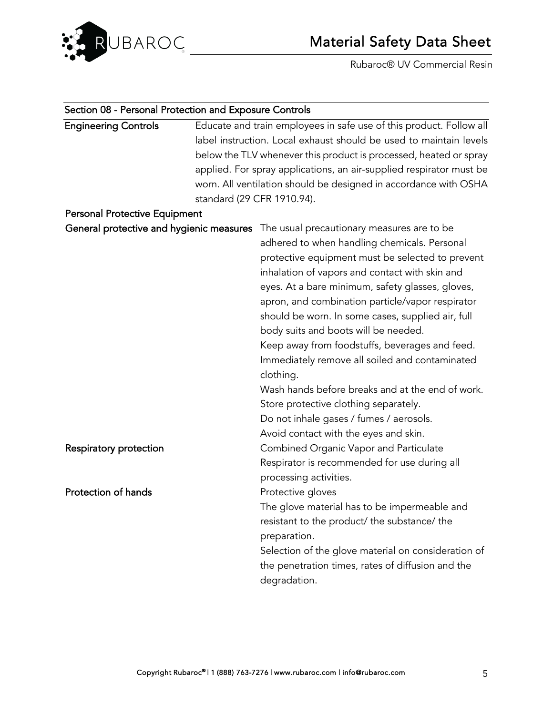

| Section 08 - Personal Protection and Exposure Controls |                                                                     |
|--------------------------------------------------------|---------------------------------------------------------------------|
| <b>Engineering Controls</b>                            | Educate and train employees in safe use of this product. Follow all |
|                                                        | label instruction. Local exhaust should be used to maintain levels  |
|                                                        | below the TLV whenever this product is processed, heated or spray   |
|                                                        | applied. For spray applications, an air-supplied respirator must be |
|                                                        | worn. All ventilation should be designed in accordance with OSHA    |
|                                                        | standard (29 CFR 1910.94).                                          |
| <b>Personal Protective Equipment</b>                   |                                                                     |
| General protective and hygienic measures               | The usual precautionary measures are to be                          |
|                                                        | adhered to when handling chemicals. Personal                        |
|                                                        | protective equipment must be selected to prevent                    |
|                                                        | inhalation of vapors and contact with skin and                      |
|                                                        | eyes. At a bare minimum, safety glasses, gloves,                    |
|                                                        | apron, and combination particle/vapor respirator                    |
|                                                        | should be worn. In some cases, supplied air, full                   |
|                                                        | body suits and boots will be needed.                                |
|                                                        | Keep away from foodstuffs, beverages and feed.                      |
|                                                        | Immediately remove all soiled and contaminated                      |
|                                                        | clothing.                                                           |
|                                                        | Wash hands before breaks and at the end of work.                    |
|                                                        | Store protective clothing separately.                               |
|                                                        | Do not inhale gases / fumes / aerosols.                             |
|                                                        | Avoid contact with the eyes and skin.                               |
| Respiratory protection                                 | Combined Organic Vapor and Particulate                              |
|                                                        | Respirator is recommended for use during all                        |
|                                                        | processing activities.                                              |
| Protection of hands                                    | Protective gloves                                                   |
|                                                        | The glove material has to be impermeable and                        |
|                                                        | resistant to the product/ the substance/ the                        |
|                                                        | preparation.                                                        |
|                                                        | Selection of the glove material on consideration of                 |
|                                                        | the penetration times, rates of diffusion and the                   |
|                                                        | degradation.                                                        |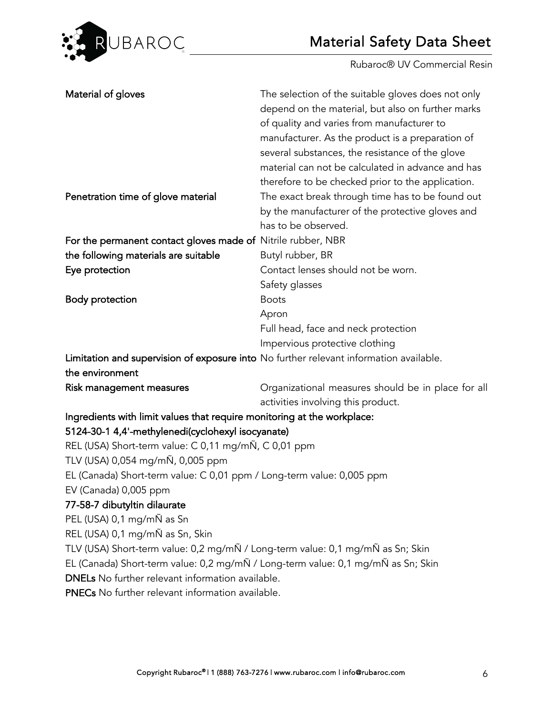

| Material of gloves                                                                     | The selection of the suitable gloves does not only<br>depend on the material, but also on further marks<br>of quality and varies from manufacturer to<br>manufacturer. As the product is a preparation of<br>several substances, the resistance of the glove<br>material can not be calculated in advance and has<br>therefore to be checked prior to the application. |  |
|----------------------------------------------------------------------------------------|------------------------------------------------------------------------------------------------------------------------------------------------------------------------------------------------------------------------------------------------------------------------------------------------------------------------------------------------------------------------|--|
| Penetration time of glove material                                                     | The exact break through time has to be found out<br>by the manufacturer of the protective gloves and<br>has to be observed.                                                                                                                                                                                                                                            |  |
| For the permanent contact gloves made of Nitrile rubber, NBR                           |                                                                                                                                                                                                                                                                                                                                                                        |  |
| the following materials are suitable                                                   | Butyl rubber, BR                                                                                                                                                                                                                                                                                                                                                       |  |
| Eye protection                                                                         | Contact lenses should not be worn.                                                                                                                                                                                                                                                                                                                                     |  |
|                                                                                        | Safety glasses                                                                                                                                                                                                                                                                                                                                                         |  |
| <b>Body protection</b>                                                                 | <b>Boots</b>                                                                                                                                                                                                                                                                                                                                                           |  |
|                                                                                        | Apron                                                                                                                                                                                                                                                                                                                                                                  |  |
|                                                                                        | Full head, face and neck protection                                                                                                                                                                                                                                                                                                                                    |  |
|                                                                                        | Impervious protective clothing                                                                                                                                                                                                                                                                                                                                         |  |
| Limitation and supervision of exposure into No further relevant information available. |                                                                                                                                                                                                                                                                                                                                                                        |  |
| the environment                                                                        |                                                                                                                                                                                                                                                                                                                                                                        |  |
| Risk management measures                                                               | Organizational measures should be in place for all<br>activities involving this product.                                                                                                                                                                                                                                                                               |  |
| Ingredients with limit values that require monitoring at the workplace:                |                                                                                                                                                                                                                                                                                                                                                                        |  |
| 5124-30-1 4,4'-methylenedi(cyclohexyl isocyanate)                                      |                                                                                                                                                                                                                                                                                                                                                                        |  |
| REL (USA) Short-term value: C 0,11 mg/mÑ, C 0,01 ppm                                   |                                                                                                                                                                                                                                                                                                                                                                        |  |
| TLV (USA) 0,054 mg/mÑ, 0,005 ppm                                                       |                                                                                                                                                                                                                                                                                                                                                                        |  |
| EL (Canada) Short-term value: C 0,01 ppm / Long-term value: 0,005 ppm                  |                                                                                                                                                                                                                                                                                                                                                                        |  |
| EV (Canada) 0,005 ppm                                                                  |                                                                                                                                                                                                                                                                                                                                                                        |  |
| 77-58-7 dibutyltin dilaurate                                                           |                                                                                                                                                                                                                                                                                                                                                                        |  |
| PEL (USA) 0,1 mg/mÑ as Sn                                                              |                                                                                                                                                                                                                                                                                                                                                                        |  |
| REL (USA) 0,1 mg/mÑ as Sn, Skin                                                        |                                                                                                                                                                                                                                                                                                                                                                        |  |
| TLV (USA) Short-term value: 0,2 mg/mÑ / Long-term value: 0,1 mg/mÑ as Sn; Skin         |                                                                                                                                                                                                                                                                                                                                                                        |  |
| EL (Canada) Short-term value: 0,2 mg/mÑ / Long-term value: 0,1 mg/mÑ as Sn; Skin       |                                                                                                                                                                                                                                                                                                                                                                        |  |
| <b>DNELs</b> No further relevant information available.                                |                                                                                                                                                                                                                                                                                                                                                                        |  |
| <b>PNECs</b> No further relevant information available.                                |                                                                                                                                                                                                                                                                                                                                                                        |  |
|                                                                                        |                                                                                                                                                                                                                                                                                                                                                                        |  |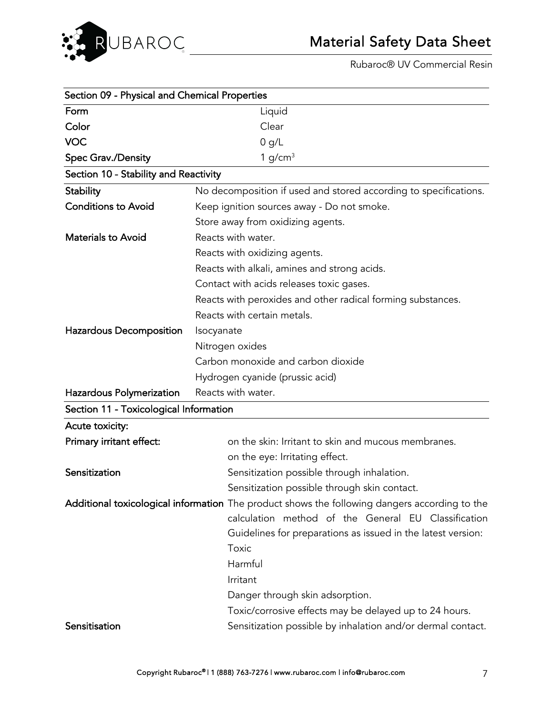

| Section 09 - Physical and Chemical Properties |                                                                                               |  |  |
|-----------------------------------------------|-----------------------------------------------------------------------------------------------|--|--|
| Form                                          | Liquid                                                                                        |  |  |
| Color                                         | Clear                                                                                         |  |  |
| <b>VOC</b>                                    | 0 g/L                                                                                         |  |  |
| Spec Grav./Density                            | 1 $g/cm3$                                                                                     |  |  |
| Section 10 - Stability and Reactivity         |                                                                                               |  |  |
| <b>Stability</b>                              | No decomposition if used and stored according to specifications.                              |  |  |
| <b>Conditions to Avoid</b>                    | Keep ignition sources away - Do not smoke.                                                    |  |  |
|                                               | Store away from oxidizing agents.                                                             |  |  |
| <b>Materials to Avoid</b>                     | Reacts with water.                                                                            |  |  |
|                                               | Reacts with oxidizing agents.                                                                 |  |  |
|                                               | Reacts with alkali, amines and strong acids.                                                  |  |  |
|                                               | Contact with acids releases toxic gases.                                                      |  |  |
|                                               | Reacts with peroxides and other radical forming substances.                                   |  |  |
|                                               | Reacts with certain metals.                                                                   |  |  |
| Hazardous Decomposition                       | Isocyanate                                                                                    |  |  |
|                                               | Nitrogen oxides                                                                               |  |  |
|                                               | Carbon monoxide and carbon dioxide                                                            |  |  |
|                                               | Hydrogen cyanide (prussic acid)                                                               |  |  |
| Hazardous Polymerization                      | Reacts with water.                                                                            |  |  |
| Section 11 - Toxicological Information        |                                                                                               |  |  |
| Acute toxicity:                               |                                                                                               |  |  |
| Primary irritant effect:                      | on the skin: Irritant to skin and mucous membranes.                                           |  |  |
|                                               | on the eye: Irritating effect.                                                                |  |  |
| Sensitization                                 | Sensitization possible through inhalation.                                                    |  |  |
|                                               | Sensitization possible through skin contact.                                                  |  |  |
|                                               | Additional toxicological information The product shows the following dangers according to the |  |  |
|                                               | calculation method of the General EU Classification                                           |  |  |
|                                               | Guidelines for preparations as issued in the latest version:                                  |  |  |
|                                               | Toxic                                                                                         |  |  |
|                                               | Harmful                                                                                       |  |  |
|                                               | Irritant                                                                                      |  |  |
|                                               | Danger through skin adsorption.                                                               |  |  |
|                                               | Toxic/corrosive effects may be delayed up to 24 hours.                                        |  |  |
| Sensitisation                                 | Sensitization possible by inhalation and/or dermal contact.                                   |  |  |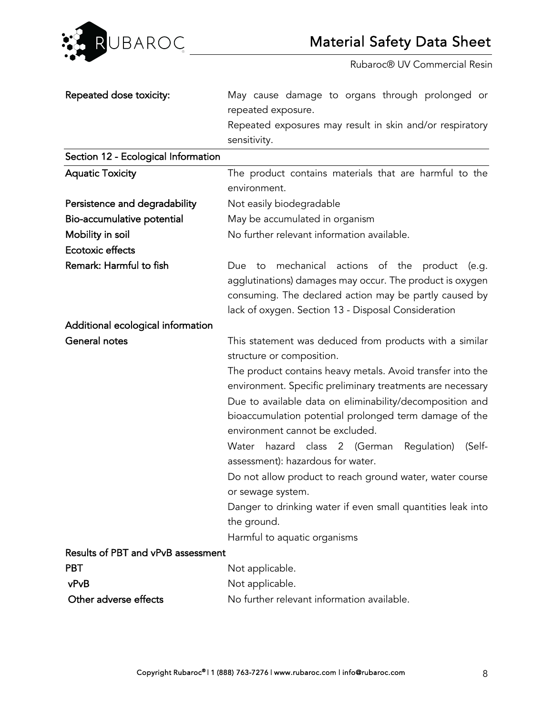

| Repeated dose toxicity:             | May cause damage to organs through prolonged or<br>repeated exposure.<br>Repeated exposures may result in skin and/or respiratory<br>sensitivity.                                                                                                                                                                                                                                                                                                                                                                                                                                                                                                                         |
|-------------------------------------|---------------------------------------------------------------------------------------------------------------------------------------------------------------------------------------------------------------------------------------------------------------------------------------------------------------------------------------------------------------------------------------------------------------------------------------------------------------------------------------------------------------------------------------------------------------------------------------------------------------------------------------------------------------------------|
| Section 12 - Ecological Information |                                                                                                                                                                                                                                                                                                                                                                                                                                                                                                                                                                                                                                                                           |
| <b>Aquatic Toxicity</b>             | The product contains materials that are harmful to the<br>environment.                                                                                                                                                                                                                                                                                                                                                                                                                                                                                                                                                                                                    |
| Persistence and degradability       | Not easily biodegradable                                                                                                                                                                                                                                                                                                                                                                                                                                                                                                                                                                                                                                                  |
| Bio-accumulative potential          | May be accumulated in organism                                                                                                                                                                                                                                                                                                                                                                                                                                                                                                                                                                                                                                            |
| Mobility in soil                    | No further relevant information available.                                                                                                                                                                                                                                                                                                                                                                                                                                                                                                                                                                                                                                |
| <b>Ecotoxic effects</b>             |                                                                                                                                                                                                                                                                                                                                                                                                                                                                                                                                                                                                                                                                           |
| Remark: Harmful to fish             | mechanical actions of the product<br>Due<br>(e.g.<br>to<br>agglutinations) damages may occur. The product is oxygen<br>consuming. The declared action may be partly caused by<br>lack of oxygen. Section 13 - Disposal Consideration                                                                                                                                                                                                                                                                                                                                                                                                                                      |
| Additional ecological information   |                                                                                                                                                                                                                                                                                                                                                                                                                                                                                                                                                                                                                                                                           |
| General notes                       | This statement was deduced from products with a similar<br>structure or composition.<br>The product contains heavy metals. Avoid transfer into the<br>environment. Specific preliminary treatments are necessary<br>Due to available data on eliminability/decomposition and<br>bioaccumulation potential prolonged term damage of the<br>environment cannot be excluded.<br>hazard class 2 (German<br>Regulation)<br>(Self-<br>Water<br>assessment): hazardous for water.<br>Do not allow product to reach ground water, water course<br>or sewage system.<br>Danger to drinking water if even small quantities leak into<br>the ground.<br>Harmful to aquatic organisms |
| Results of PBT and vPvB assessment  |                                                                                                                                                                                                                                                                                                                                                                                                                                                                                                                                                                                                                                                                           |
| <b>PBT</b>                          | Not applicable.                                                                                                                                                                                                                                                                                                                                                                                                                                                                                                                                                                                                                                                           |
| vPvB                                | Not applicable.                                                                                                                                                                                                                                                                                                                                                                                                                                                                                                                                                                                                                                                           |
| Other adverse effects               | No further relevant information available.                                                                                                                                                                                                                                                                                                                                                                                                                                                                                                                                                                                                                                |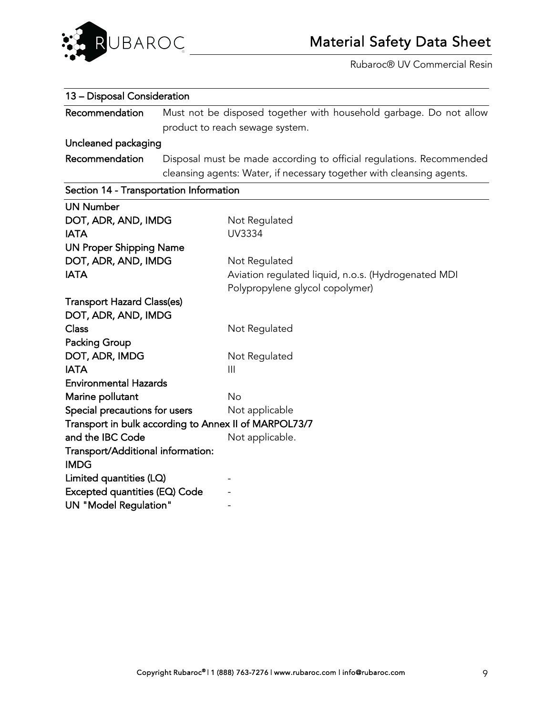

#### 13 – Disposal Consideration

Recommendation Must not be disposed together with household garbage. Do not allow product to reach sewage system.

## Uncleaned packaging

Recommendation Disposal must be made according to official regulations. Recommended cleansing agents: Water, if necessary together with cleansing agents.

# Section 14 - Transportation Information

| <b>UN Number</b>                                      |                                                     |
|-------------------------------------------------------|-----------------------------------------------------|
| DOT, ADR, AND, IMDG                                   | Not Regulated                                       |
| <b>IATA</b>                                           | UV3334                                              |
| <b>UN Proper Shipping Name</b>                        |                                                     |
| DOT, ADR, AND, IMDG                                   | Not Regulated                                       |
| <b>IATA</b>                                           | Aviation regulated liquid, n.o.s. (Hydrogenated MDI |
|                                                       | Polypropylene glycol copolymer)                     |
| <b>Transport Hazard Class(es)</b>                     |                                                     |
| DOT, ADR, AND, IMDG                                   |                                                     |
| <b>Class</b>                                          | Not Regulated                                       |
| <b>Packing Group</b>                                  |                                                     |
| DOT, ADR, IMDG                                        | Not Regulated                                       |
| <b>IATA</b>                                           | $\mathbf{III}$                                      |
| <b>Environmental Hazards</b>                          |                                                     |
| Marine pollutant                                      | No                                                  |
| Special precautions for users                         | Not applicable                                      |
| Transport in bulk according to Annex II of MARPOL73/7 |                                                     |
| and the IBC Code                                      | Not applicable.                                     |
| Transport/Additional information:                     |                                                     |
| <b>IMDG</b>                                           |                                                     |
| Limited quantities (LQ)                               |                                                     |
| Excepted quantities (EQ) Code                         |                                                     |
| <b>UN "Model Regulation"</b>                          |                                                     |